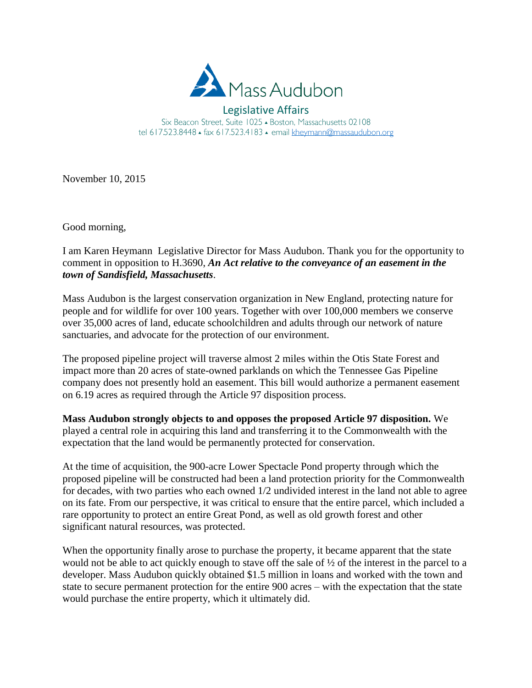

Legislative Affairs Six Beacon Street, Suite 1025 - Boston, Massachusetts 02108 tel 617.523.8448 · fax 617.523.4183 · email kheymann@massaudubon.org

November 10, 2015

Good morning,

I am Karen Heymann Legislative Director for Mass Audubon. Thank you for the opportunity to comment in opposition to H.3690, *An Act relative to the conveyance of an easement in the town of Sandisfield, Massachusetts*.

Mass Audubon is the largest conservation organization in New England, protecting nature for people and for wildlife for over 100 years. Together with over 100,000 members we conserve over 35,000 acres of land, educate schoolchildren and adults through our network of nature sanctuaries, and advocate for the protection of our environment.

The proposed pipeline project will traverse almost 2 miles within the Otis State Forest and impact more than 20 acres of state-owned parklands on which the Tennessee Gas Pipeline company does not presently hold an easement. This bill would authorize a permanent easement on 6.19 acres as required through the Article 97 disposition process.

**Mass Audubon strongly objects to and opposes the proposed Article 97 disposition.** We played a central role in acquiring this land and transferring it to the Commonwealth with the expectation that the land would be permanently protected for conservation.

At the time of acquisition, the 900-acre Lower Spectacle Pond property through which the proposed pipeline will be constructed had been a land protection priority for the Commonwealth for decades, with two parties who each owned 1/2 undivided interest in the land not able to agree on its fate. From our perspective, it was critical to ensure that the entire parcel, which included a rare opportunity to protect an entire Great Pond, as well as old growth forest and other significant natural resources, was protected.

When the opportunity finally arose to purchase the property, it became apparent that the state would not be able to act quickly enough to stave off the sale of ½ of the interest in the parcel to a developer. Mass Audubon quickly obtained \$1.5 million in loans and worked with the town and state to secure permanent protection for the entire 900 acres – with the expectation that the state would purchase the entire property, which it ultimately did.